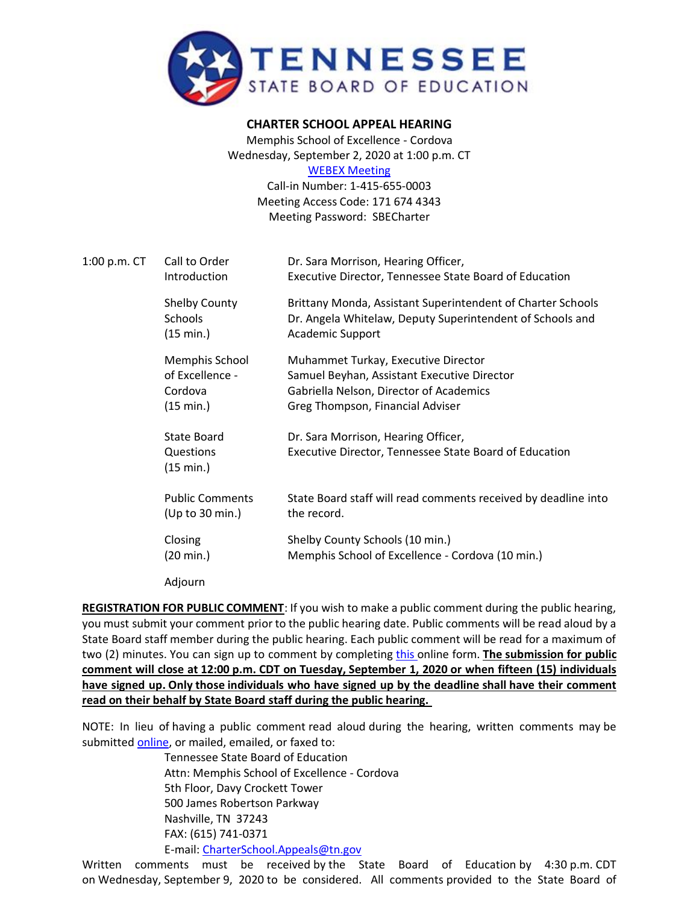

**CHARTER SCHOOL APPEAL HEARING**

Memphis School of Excellence - Cordova Wednesday, September 2, 2020 at 1:00 p.m. CT [WEBEX Meeting](https://tngov.webex.com/tngov/onstage/g.php?MTID=ef0ee32a2dffba65238ae17baca4146c5)

Call-in Number: 1-415-655-0003 Meeting Access Code: 171 674 4343 Meeting Password: SBECharter

| 1:00 p.m. CT | Call to Order<br>Introduction                             | Dr. Sara Morrison, Hearing Officer,<br>Executive Director, Tennessee State Board of Education                                                                     |
|--------------|-----------------------------------------------------------|-------------------------------------------------------------------------------------------------------------------------------------------------------------------|
|              | <b>Shelby County</b><br>Schools<br>(15 min.)              | Brittany Monda, Assistant Superintendent of Charter Schools<br>Dr. Angela Whitelaw, Deputy Superintendent of Schools and<br><b>Academic Support</b>               |
|              | Memphis School<br>of Excellence -<br>Cordova<br>(15 min.) | Muhammet Turkay, Executive Director<br>Samuel Beyhan, Assistant Executive Director<br>Gabriella Nelson, Director of Academics<br>Greg Thompson, Financial Adviser |
|              | State Board<br>Questions<br>(15 min.)                     | Dr. Sara Morrison, Hearing Officer,<br>Executive Director, Tennessee State Board of Education                                                                     |
|              | <b>Public Comments</b><br>(Up to 30 min.)                 | State Board staff will read comments received by deadline into<br>the record.                                                                                     |
|              | Closing<br>(20 min.)                                      | Shelby County Schools (10 min.)<br>Memphis School of Excellence - Cordova (10 min.)                                                                               |
|              | Adjourn                                                   |                                                                                                                                                                   |

**REGISTRATION FOR PUBLIC COMMENT**: If you wish to make a public comment during the public hearing, you must submit your comment prior to the public hearing date. Public comments will be read aloud by a State Board staff member during the public hearing. Each public comment will be read for a maximum of two (2) minutes. You can sign up to comment by completing [this](https://stateoftennessee.formstack.com/forms/signup_for_public_comment_mse_public_hearing) online form. **The submission for public comment will close at 12:00 p.m. CDT on Tuesday, September 1, 2020 or when fifteen (15) individuals have signed up. Only those individuals who have signed up by the deadline shall have their comment read on their behalf by State Board staff during the public hearing.**

NOTE: In lieu of having a public comment read aloud during the hearing, written comments may be submitted [online,](https://stateoftennessee.formstack.com/forms/charter_school_appeals_written_public_comment_for_mse) or mailed, emailed, or faxed to:

Tennessee State Board of Education Attn: Memphis School of Excellence - Cordova 5th Floor, Davy Crockett Tower 500 James Robertson Parkway Nashville, TN 37243 FAX: (615) 741-0371 E-mail: [CharterSchool.Appeals@tn.gov](mailto:CharterSchool.Appeals@tn.gov)

Written comments must be received by the State Board of Education by 4:30 p.m. CDT on Wednesday, September 9, 2020 to be considered. All comments provided to the State Board of